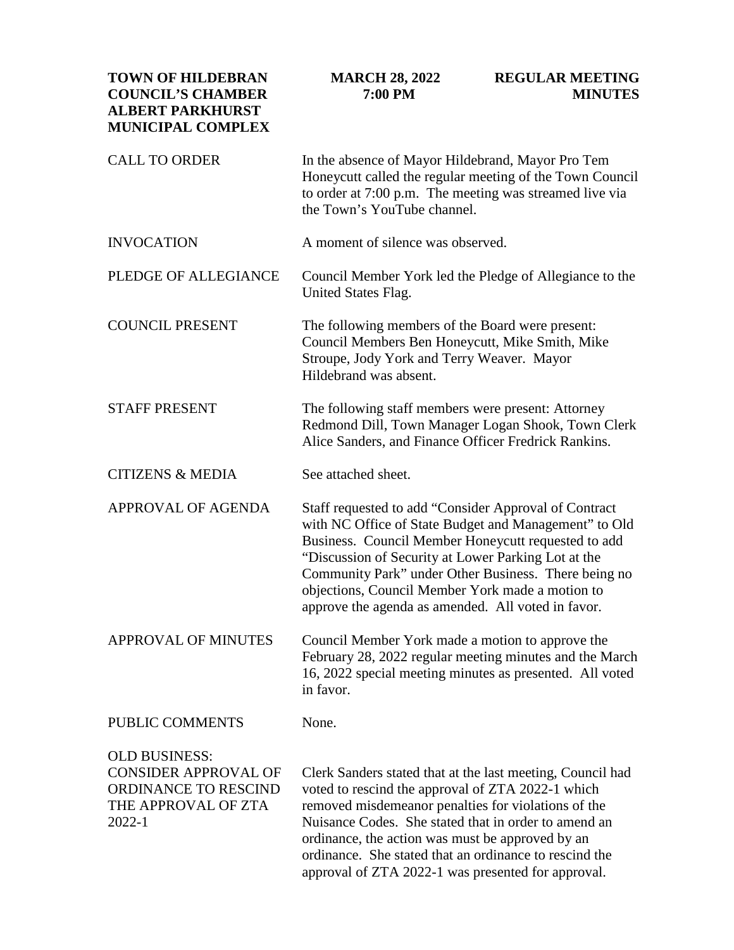| <b>TOWN OF HILDEBRAN</b><br><b>COUNCIL'S CHAMBER</b><br><b>ALBERT PARKHURST</b><br><b>MUNICIPAL COMPLEX</b>  | <b>MARCH 28, 2022</b><br>7:00 PM                                                                                                                                                                                                                                                                                                                                                                   | <b>REGULAR MEETING</b><br><b>MINUTES</b> |
|--------------------------------------------------------------------------------------------------------------|----------------------------------------------------------------------------------------------------------------------------------------------------------------------------------------------------------------------------------------------------------------------------------------------------------------------------------------------------------------------------------------------------|------------------------------------------|
| <b>CALL TO ORDER</b>                                                                                         | In the absence of Mayor Hildebrand, Mayor Pro Tem<br>Honeycutt called the regular meeting of the Town Council<br>to order at 7:00 p.m. The meeting was streamed live via<br>the Town's YouTube channel.                                                                                                                                                                                            |                                          |
| <b>INVOCATION</b>                                                                                            | A moment of silence was observed.                                                                                                                                                                                                                                                                                                                                                                  |                                          |
| PLEDGE OF ALLEGIANCE                                                                                         | Council Member York led the Pledge of Allegiance to the<br>United States Flag.                                                                                                                                                                                                                                                                                                                     |                                          |
| <b>COUNCIL PRESENT</b>                                                                                       | The following members of the Board were present:<br>Council Members Ben Honeycutt, Mike Smith, Mike<br>Stroupe, Jody York and Terry Weaver. Mayor<br>Hildebrand was absent.                                                                                                                                                                                                                        |                                          |
| <b>STAFF PRESENT</b>                                                                                         | The following staff members were present: Attorney<br>Redmond Dill, Town Manager Logan Shook, Town Clerk<br>Alice Sanders, and Finance Officer Fredrick Rankins.                                                                                                                                                                                                                                   |                                          |
| <b>CITIZENS &amp; MEDIA</b>                                                                                  | See attached sheet.                                                                                                                                                                                                                                                                                                                                                                                |                                          |
| APPROVAL OF AGENDA                                                                                           | Staff requested to add "Consider Approval of Contract"<br>with NC Office of State Budget and Management" to Old<br>Business. Council Member Honeycutt requested to add<br>"Discussion of Security at Lower Parking Lot at the<br>Community Park" under Other Business. There being no<br>objections, Council Member York made a motion to<br>approve the agenda as amended. All voted in favor.    |                                          |
| <b>APPROVAL OF MINUTES</b>                                                                                   | Council Member York made a motion to approve the<br>February 28, 2022 regular meeting minutes and the March<br>16, 2022 special meeting minutes as presented. All voted<br>in favor.                                                                                                                                                                                                               |                                          |
| PUBLIC COMMENTS                                                                                              | None.                                                                                                                                                                                                                                                                                                                                                                                              |                                          |
| <b>OLD BUSINESS:</b><br><b>CONSIDER APPROVAL OF</b><br>ORDINANCE TO RESCIND<br>THE APPROVAL OF ZTA<br>2022-1 | Clerk Sanders stated that at the last meeting, Council had<br>voted to rescind the approval of ZTA 2022-1 which<br>removed misdemeanor penalties for violations of the<br>Nuisance Codes. She stated that in order to amend an<br>ordinance, the action was must be approved by an<br>ordinance. She stated that an ordinance to rescind the<br>approval of ZTA 2022-1 was presented for approval. |                                          |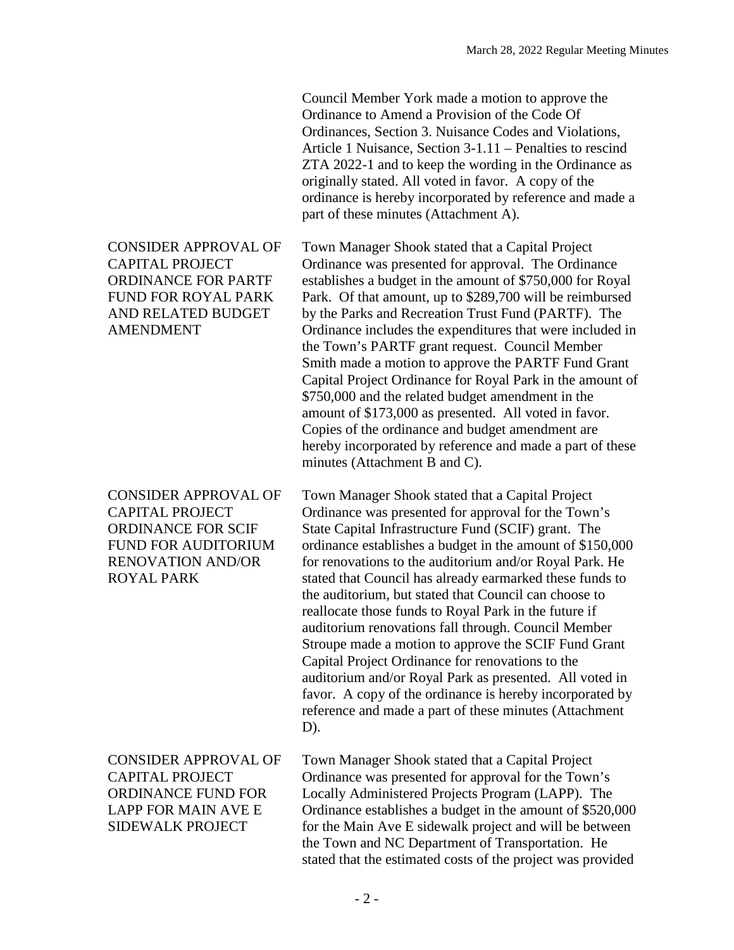Council Member York made a motion to approve the Ordinance to Amend a Provision of the Code Of Ordinances, Section 3. Nuisance Codes and Violations, Article 1 Nuisance, Section 3-1.11 – Penalties to rescind ZTA 2022-1 and to keep the wording in the Ordinance as originally stated. All voted in favor. A copy of the ordinance is hereby incorporated by reference and made a part of these minutes (Attachment A).

Town Manager Shook stated that a Capital Project Ordinance was presented for approval. The Ordinance establishes a budget in the amount of \$750,000 for Royal Park. Of that amount, up to \$289,700 will be reimbursed by the Parks and Recreation Trust Fund (PARTF). The Ordinance includes the expenditures that were included in the Town's PARTF grant request. Council Member Smith made a motion to approve the PARTF Fund Grant Capital Project Ordinance for Royal Park in the amount of \$750,000 and the related budget amendment in the amount of \$173,000 as presented. All voted in favor. Copies of the ordinance and budget amendment are hereby incorporated by reference and made a part of these minutes (Attachment B and C).

Town Manager Shook stated that a Capital Project Ordinance was presented for approval for the Town's State Capital Infrastructure Fund (SCIF) grant. The ordinance establishes a budget in the amount of \$150,000 for renovations to the auditorium and/or Royal Park. He stated that Council has already earmarked these funds to the auditorium, but stated that Council can choose to reallocate those funds to Royal Park in the future if auditorium renovations fall through. Council Member Stroupe made a motion to approve the SCIF Fund Grant Capital Project Ordinance for renovations to the auditorium and/or Royal Park as presented. All voted in favor. A copy of the ordinance is hereby incorporated by reference and made a part of these minutes (Attachment D).

Town Manager Shook stated that a Capital Project Ordinance was presented for approval for the Town's Locally Administered Projects Program (LAPP). The Ordinance establishes a budget in the amount of \$520,000 for the Main Ave E sidewalk project and will be between the Town and NC Department of Transportation. He stated that the estimated costs of the project was provided

## CONSIDER APPROVAL OF CAPITAL PROJECT ORDINANCE FOR PARTF FUND FOR ROYAL PARK AND RELATED BUDGET AMENDMENT

CONSIDER APPROVAL OF CAPITAL PROJECT ORDINANCE FOR SCIF FUND FOR AUDITORIUM RENOVATION AND/OR ROYAL PARK

CONSIDER APPROVAL OF CAPITAL PROJECT ORDINANCE FUND FOR LAPP FOR MAIN AVE E SIDEWALK PROJECT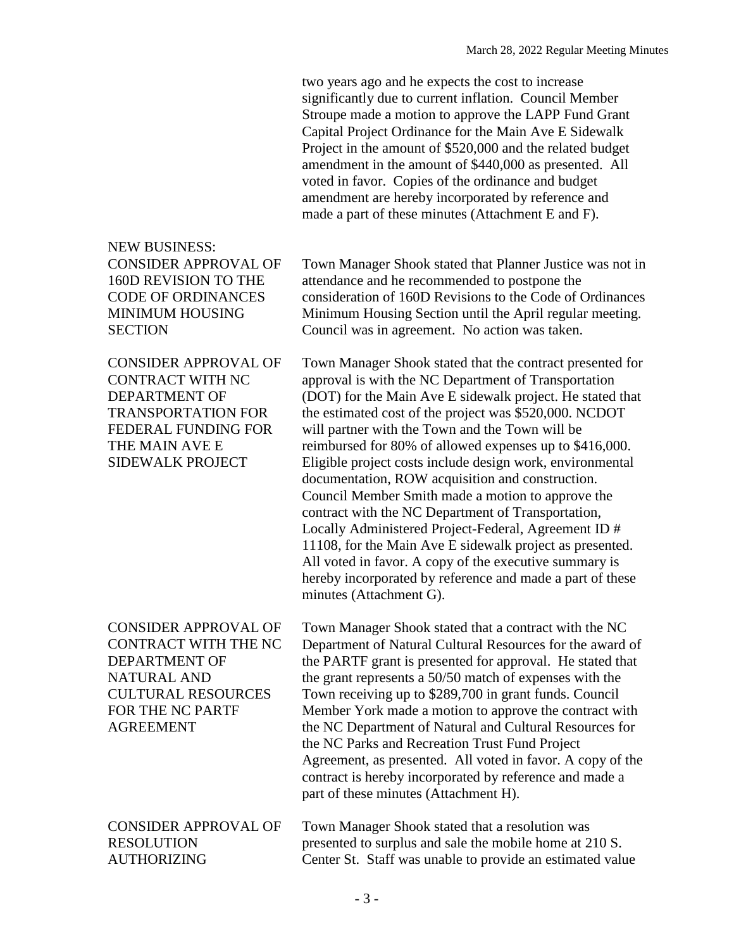two years ago and he expects the cost to increase significantly due to current inflation. Council Member Stroupe made a motion to approve the LAPP Fund Grant Capital Project Ordinance for the Main Ave E Sidewalk Project in the amount of \$520,000 and the related budget amendment in the amount of \$440,000 as presented. All voted in favor. Copies of the ordinance and budget amendment are hereby incorporated by reference and made a part of these minutes (Attachment E and F).

NEW BUSINESS: CONSIDER APPROVAL OF 160D REVISION TO THE CODE OF ORDINANCES MINIMUM HOUSING **SECTION** 

CONSIDER APPROVAL OF CONTRACT WITH NC DEPARTMENT OF TRANSPORTATION FOR FEDERAL FUNDING FOR THE MAIN AVE E SIDEWALK PROJECT

CONSIDER APPROVAL OF CONTRACT WITH THE NC DEPARTMENT OF NATURAL AND CULTURAL RESOURCES FOR THE NC PARTF AGREEMENT

Town Manager Shook stated that Planner Justice was not in attendance and he recommended to postpone the consideration of 160D Revisions to the Code of Ordinances Minimum Housing Section until the April regular meeting. Council was in agreement. No action was taken.

Town Manager Shook stated that the contract presented for approval is with the NC Department of Transportation (DOT) for the Main Ave E sidewalk project. He stated that the estimated cost of the project was \$520,000. NCDOT will partner with the Town and the Town will be reimbursed for 80% of allowed expenses up to \$416,000. Eligible project costs include design work, environmental documentation, ROW acquisition and construction. Council Member Smith made a motion to approve the contract with the NC Department of Transportation, Locally Administered Project-Federal, Agreement ID # 11108, for the Main Ave E sidewalk project as presented. All voted in favor. A copy of the executive summary is hereby incorporated by reference and made a part of these minutes (Attachment G).

Town Manager Shook stated that a contract with the NC Department of Natural Cultural Resources for the award of the PARTF grant is presented for approval. He stated that the grant represents a 50/50 match of expenses with the Town receiving up to \$289,700 in grant funds. Council Member York made a motion to approve the contract with the NC Department of Natural and Cultural Resources for the NC Parks and Recreation Trust Fund Project Agreement, as presented. All voted in favor. A copy of the contract is hereby incorporated by reference and made a part of these minutes (Attachment H).

CONSIDER APPROVAL OF RESOLUTION AUTHORIZING Town Manager Shook stated that a resolution was presented to surplus and sale the mobile home at 210 S. Center St. Staff was unable to provide an estimated value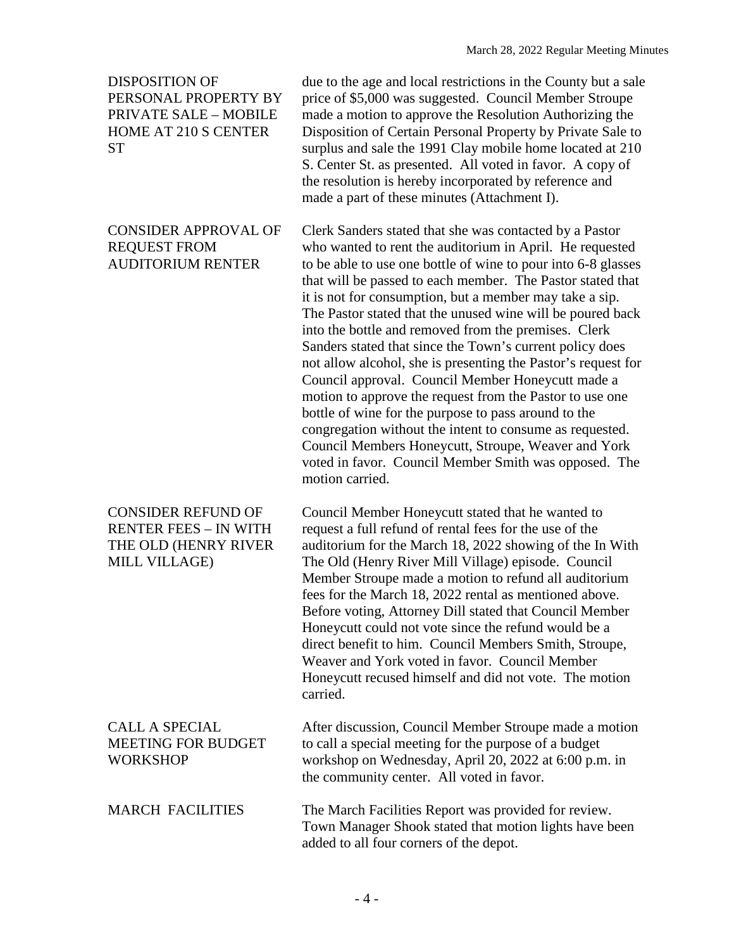## DISPOSITION OF PERSONAL PROPERTY BY PRIVATE SALE – MOBILE HOME AT 210 S CENTER **ST**

## CONSIDER APPROVAL OF REQUEST FROM AUDITORIUM RENTER

due to the age and local restrictions in the County but a sale price of \$5,000 was suggested. Council Member Stroupe made a motion to approve the Resolution Authorizing the Disposition of Certain Personal Property by Private Sale to surplus and sale the 1991 Clay mobile home located at 210 S. Center St. as presented. All voted in favor. A copy of the resolution is hereby incorporated by reference and made a part of these minutes (Attachment I).

Clerk Sanders stated that she was contacted by a Pastor who wanted to rent the auditorium in April. He requested to be able to use one bottle of wine to pour into 6-8 glasses that will be passed to each member. The Pastor stated that it is not for consumption, but a member may take a sip. The Pastor stated that the unused wine will be poured back into the bottle and removed from the premises. Clerk Sanders stated that since the Town's current policy does not allow alcohol, she is presenting the Pastor's request for Council approval. Council Member Honeycutt made a motion to approve the request from the Pastor to use one bottle of wine for the purpose to pass around to the congregation without the intent to consume as requested. Council Members Honeycutt, Stroupe, Weaver and York voted in favor. Council Member Smith was opposed. The motion carried.

CONSIDER REFUND OF RENTER FEES – IN WITH THE OLD (HENRY RIVER MILL VILLAGE) Council Member Honeycutt stated that he wanted to request a full refund of rental fees for the use of the auditorium for the March 18, 2022 showing of the In With The Old (Henry River Mill Village) episode. Council Member Stroupe made a motion to refund all auditorium fees for the March 18, 2022 rental as mentioned above. Before voting, Attorney Dill stated that Council Member Honeycutt could not vote since the refund would be a direct benefit to him. Council Members Smith, Stroupe, Weaver and York voted in favor. Council Member Honeycutt recused himself and did not vote. The motion carried.

| <b>CALL A SPECIAL</b>     | After discussion, Council Member Stroupe made a motion                                             |
|---------------------------|----------------------------------------------------------------------------------------------------|
| <b>MEETING FOR BUDGET</b> | to call a special meeting for the purpose of a budget                                              |
| <b>WORKSHOP</b>           | workshop on Wednesday, April 20, 2022 at 6:00 p.m. in<br>the community center. All voted in favor. |
| <b>MARCH FACILITIES</b>   | The March Facilities Report was provided for review.                                               |

The March Facilities Report was provided for review. Town Manager Shook stated that motion lights have been added to all four corners of the depot.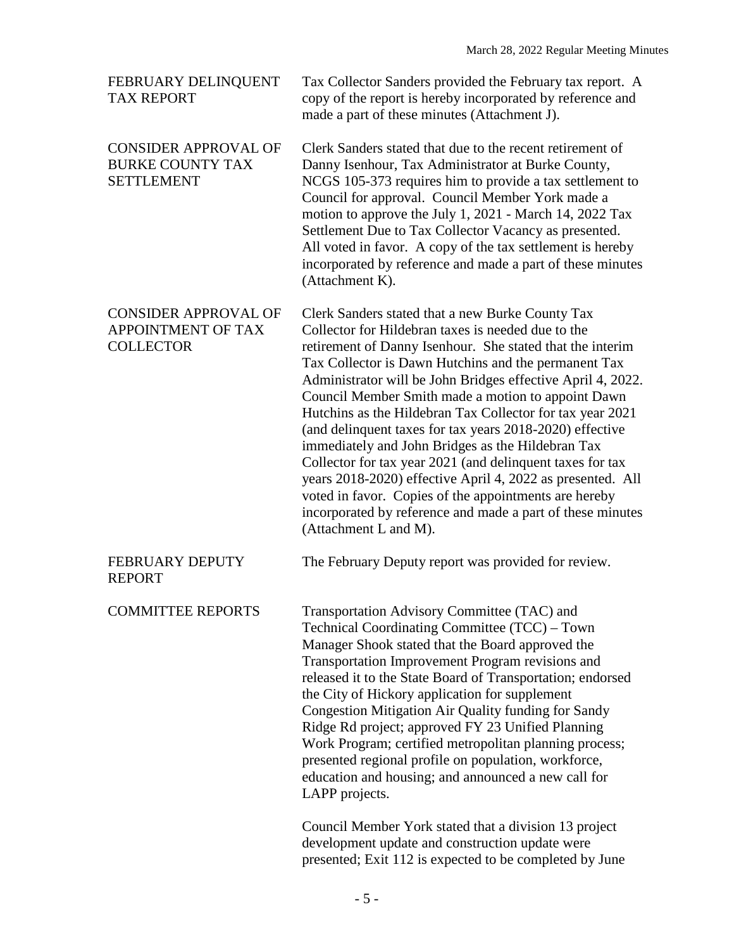| FEBRUARY DELINQUENT<br><b>TAX REPORT</b>                                     | Tax Collector Sanders provided the February tax report. A<br>copy of the report is hereby incorporated by reference and<br>made a part of these minutes (Attachment J).                                                                                                                                                                                                                                                                                                                                                                                                                                                                                                                                                                                                                                   |
|------------------------------------------------------------------------------|-----------------------------------------------------------------------------------------------------------------------------------------------------------------------------------------------------------------------------------------------------------------------------------------------------------------------------------------------------------------------------------------------------------------------------------------------------------------------------------------------------------------------------------------------------------------------------------------------------------------------------------------------------------------------------------------------------------------------------------------------------------------------------------------------------------|
| <b>CONSIDER APPROVAL OF</b><br><b>BURKE COUNTY TAX</b><br><b>SETTLEMENT</b>  | Clerk Sanders stated that due to the recent retirement of<br>Danny Isenhour, Tax Administrator at Burke County,<br>NCGS 105-373 requires him to provide a tax settlement to<br>Council for approval. Council Member York made a<br>motion to approve the July 1, 2021 - March 14, 2022 Tax<br>Settlement Due to Tax Collector Vacancy as presented.<br>All voted in favor. A copy of the tax settlement is hereby<br>incorporated by reference and made a part of these minutes<br>(Attachment K).                                                                                                                                                                                                                                                                                                        |
| <b>CONSIDER APPROVAL OF</b><br><b>APPOINTMENT OF TAX</b><br><b>COLLECTOR</b> | Clerk Sanders stated that a new Burke County Tax<br>Collector for Hildebran taxes is needed due to the<br>retirement of Danny Isenhour. She stated that the interim<br>Tax Collector is Dawn Hutchins and the permanent Tax<br>Administrator will be John Bridges effective April 4, 2022.<br>Council Member Smith made a motion to appoint Dawn<br>Hutchins as the Hildebran Tax Collector for tax year 2021<br>(and delinquent taxes for tax years 2018-2020) effective<br>immediately and John Bridges as the Hildebran Tax<br>Collector for tax year 2021 (and delinquent taxes for tax<br>years 2018-2020) effective April 4, 2022 as presented. All<br>voted in favor. Copies of the appointments are hereby<br>incorporated by reference and made a part of these minutes<br>(Attachment L and M). |
| <b>FEBRUARY DEPUTY</b><br><b>REPORT</b>                                      | The February Deputy report was provided for review.                                                                                                                                                                                                                                                                                                                                                                                                                                                                                                                                                                                                                                                                                                                                                       |
| <b>COMMITTEE REPORTS</b>                                                     | Transportation Advisory Committee (TAC) and<br>Technical Coordinating Committee (TCC) – Town<br>Manager Shook stated that the Board approved the<br>Transportation Improvement Program revisions and<br>released it to the State Board of Transportation; endorsed<br>the City of Hickory application for supplement<br>Congestion Mitigation Air Quality funding for Sandy<br>Ridge Rd project; approved FY 23 Unified Planning<br>Work Program; certified metropolitan planning process;<br>presented regional profile on population, workforce,<br>education and housing; and announced a new call for<br>LAPP projects.<br>Council Member York stated that a division 13 project<br>development update and construction update were<br>presented; Exit 112 is expected to be completed by June        |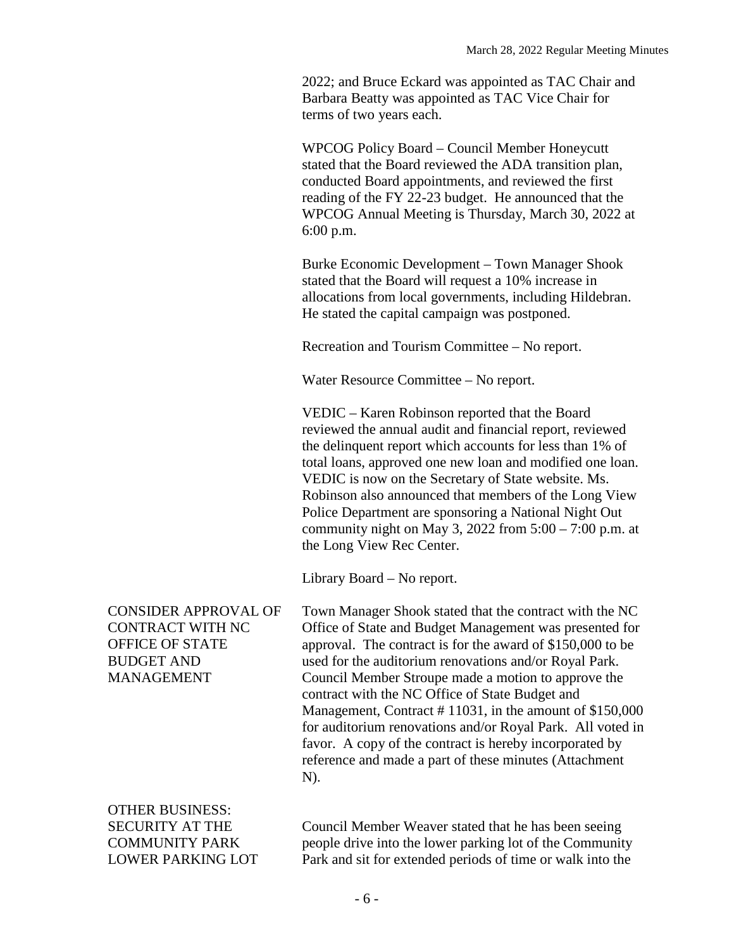2022; and Bruce Eckard was appointed as TAC Chair and Barbara Beatty was appointed as TAC Vice Chair for terms of two years each.

WPCOG Policy Board – Council Member Honeycutt stated that the Board reviewed the ADA transition plan, conducted Board appointments, and reviewed the first reading of the FY 22-23 budget. He announced that the WPCOG Annual Meeting is Thursday, March 30, 2022 at 6:00 p.m.

Burke Economic Development – Town Manager Shook stated that the Board will request a 10% increase in allocations from local governments, including Hildebran. He stated the capital campaign was postponed.

Recreation and Tourism Committee – No report.

Water Resource Committee – No report.

VEDIC – Karen Robinson reported that the Board reviewed the annual audit and financial report, reviewed the delinquent report which accounts for less than 1% of total loans, approved one new loan and modified one loan. VEDIC is now on the Secretary of State website. Ms. Robinson also announced that members of the Long View Police Department are sponsoring a National Night Out community night on May 3, 2022 from  $5:00 - 7:00$  p.m. at the Long View Rec Center.

Library Board – No report.

CONSIDER APPROVAL OF CONTRACT WITH NC OFFICE OF STATE BUDGET AND MANAGEMENT Town Manager Shook stated that the contract with the NC Office of State and Budget Management was presented for approval. The contract is for the award of \$150,000 to be used for the auditorium renovations and/or Royal Park. Council Member Stroupe made a motion to approve the contract with the NC Office of State Budget and Management, Contract # 11031, in the amount of \$150,000 for auditorium renovations and/or Royal Park. All voted in favor. A copy of the contract is hereby incorporated by reference and made a part of these minutes (Attachment N).

OTHER BUSINESS: SECURITY AT THE COMMUNITY PARK LOWER PARKING LOT

Council Member Weaver stated that he has been seeing people drive into the lower parking lot of the Community Park and sit for extended periods of time or walk into the